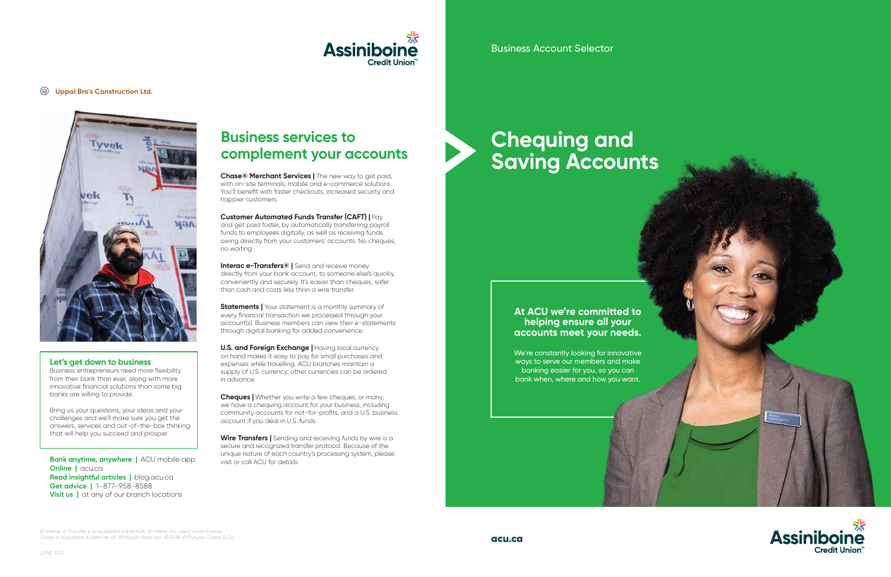# **Chequing and Saving Accounts**



## Business Account Selector





**Chase® Merchant Services |** The new way to get paid, with on-site terminals, mobile and e-commerce solutions. You'll benefit with faster checkouts, increased security and happier customers.

**Interac e-Transfers®** | Send and receive money directly from your bank account, to someone else's quickly, conveniently and securely. It's easier than cheques, safer than cash and costs less than a wire transfer.

**Customer Automated Funds Transfer (CAFT) |** Pay and get paid faster, by automatically transferring payroll funds to employees digitally, as well as receiving funds owing directly from your customers' accounts. No cheques, no waiting.

**Statements** | Your statement is a monthly summary of every financial transaction we processed through your account(s). Business members can view their e-statements through digital banking for added convenience.

**U.S. and Foreign Exchange | Having local currency** on hand makes it easy to pay for small purchases and expenses while travelling. ACU branches maintain a supply of U.S. currency; other currencies can be ordered in advance.

**Cheques |** Whether you write a few cheques, or many; we have a chequing account for your business, including community accounts for not-for-profits, and a U.S. business account if you deal in U.S. funds.

### 6€ **Uppal Bro's Construction Ltd.**



**Wire Transfers |** Sending and receiving funds by wire is a secure and recognized transfer protocol. Because of the unique nature of each country's processing system, please visit or call ACU for details.

# **Business services to complement your accounts**

### **Let's get down to business**

Business entrepreneurs need more flexibility from their bank than ever, along with more innovative financial solutions than some big banks are willing to provide.

Bring us your questions, your ideas and your challenges and we'll make sure you get the answers, services and out-of-the-box thinking that will help you succeed and prosper.

**Bank anytime, anywhere | ACU mobile app Online | acu.ca Read insightful articles |** blog.acu.ca **Get advice |** 1-877-958-8588 **Visit us** | at any of our branch locations



### **At ACU we're committed to helping ensure all your accounts meet your needs.**

We're constantly looking for innovative ways to serve our members and make banking easier for you, so you can bank when, where and how you want.